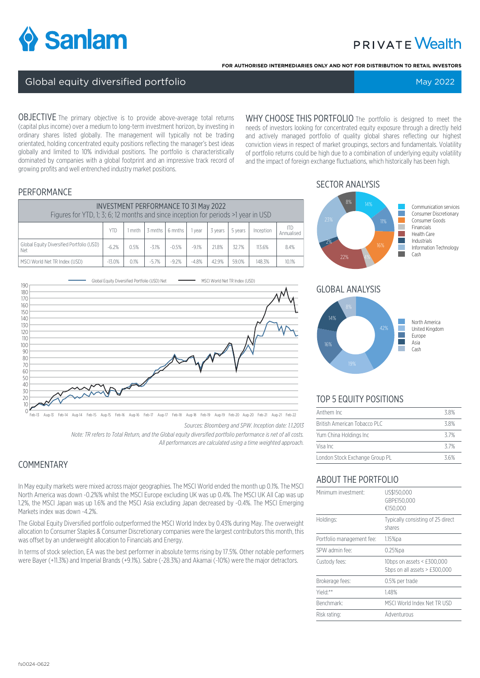

# **PRIVATE Wealth**

**FOR AUTHORISED INTERMEDIARIES ONLY AND NOT FOR DISTRIBUTION TO RETAIL INVESTORS**

#### Global equity diversified portfolio May 2022 Superior Control of Tennis Annual May 2022

OBJECTIVE The primary objective is to provide above-average total returns (capital plus income) over a medium to long-term investment horizon, by investing in ordinary shares listed globally. The management will typically not be trading orientated, holding concentrated equity positions reflecting the manager's best ideas globally and limited to 10% individual positions. The portfolio is characteristically dominated by companies with a global footprint and an impressive track record of growing profits and well entrenched industry market positions.

WHY CHOOSE THIS PORTFOLIO The portfolio is designed to meet the needs of investors looking for concentrated equity exposure through a directly held and actively managed portfolio of quality global shares reflecting our highest conviction views in respect of market groupings, sectors and fundamentals. Volatility of portfolio returns could be high due to a combination of underlying equity volatility and the impact of foreign exchange fluctuations, which historically has been high.

#### PERFORMANCE

| <b>INVESTMENT PERFORMANCE TO 31 May 2022</b><br>Figures for YTD, 1; 3; 6; 12 months and since inception for periods >1 year in USD |          |        |         |                      |         |         |         |           |                          |
|------------------------------------------------------------------------------------------------------------------------------------|----------|--------|---------|----------------------|---------|---------|---------|-----------|--------------------------|
|                                                                                                                                    | YTD      | I mnth |         | $3$ mnths $16$ mnths | I vear  | 3 vears | 5 years | Inception | <b>ITD</b><br>Annualised |
| Global Equity Diversified Portfolio (USD)<br>Net                                                                                   | $-6.2%$  | 0.5%   | $-3.1%$ | $-0.5%$              | $-9.1%$ | 21.8%   | 32.7%   | 113.6%    | 8.4%                     |
| MSCI World Net TR Index (USD)                                                                                                      | $-13.0%$ | 0.1%   | $-5.7%$ | $-9.2%$              | $-4.8%$ | 42.9%   | 59.0%   | 148.3%    | 10.1%                    |



*Sources: Bloomberg and SPW. Inception date: 1.1.2013*

*Note: TR refers to Total Return, and the Global equity diversified portfolio performance is net of all costs. All performances are calculated using a time weighted approach.*

## **COMMENTARY**

In May equity markets were mixed across major geographies. The MSCI World ended the month up 0.1%. The MSCI North America was down -0.2%% whilst the MSCI Europe excluding UK was up 0.4%. The MSCI UK All Cap was up 1.2%, the MSCI Japan was up 1.6% and the MSCI Asia excluding Japan decreased by -0.4%. The MSCI Emerging Markets index was down -4.2%.

The Global Equity Diversified portfolio outperformed the MSCI World Index by 0.43% during May. The overweight allocation to Consumer Staples & Consumer Discretionary companies were the largest contributors this month, this was offset by an underweight allocation to Financials and Energy.

In terms of stock selection. EA was the best performer in absolute terms rising by 17.5%. Other notable performers were Bayer (+11.3%) and Imperial Brands (+9.1%). Sabre (-28.3%) and Akamai (-10%) were the major detractors.

### SECTOR ANALYSIS



### GLOBAL ANALYSIS



### TOP 5 EQUITY POSITIONS

| Anthem Inc                     | 38% |
|--------------------------------|-----|
| British American Tobacco PLC.  | 38% |
| Yum China Holdings Inc         | 37% |
| Visa Inc.                      | 37% |
| London Stock Exchange Group PL | 36% |

### ABOUT THE PORTFOLIO

| Minimum investment:       | US\$150,000<br>GBP£150.000<br>€150,000                      |
|---------------------------|-------------------------------------------------------------|
| Holdinas:                 | Typically consisting of 25 direct<br>shares                 |
| Portfolio management fee: | 1.15%pa                                                     |
| SPW admin fee:            | $0.25%$ pa                                                  |
| Custody fees:             | 10bps on assets < £300,000<br>5bps on all assets > £300,000 |
| Brokerage fees:           | 0.5% per trade                                              |
| Yield:**                  | 1.48%                                                       |
| Benchmark:                | MSCI World Index Net TR USD                                 |
| Risk rating:              | Adventurous                                                 |